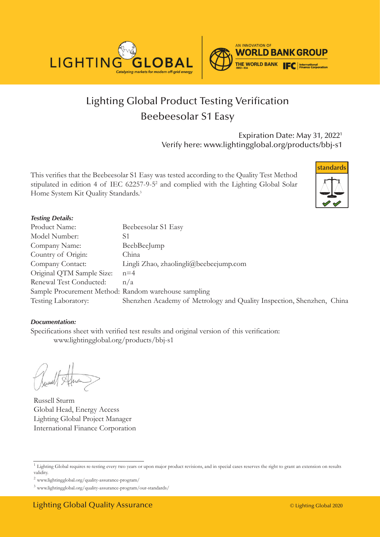

# Lighting Global Product Testing Verification Beebeesolar S1 Easy

Expiration Date: May 31, 20221 Verify here: www.lightingglobal.org/products/bbj-s1

This verifies that the Beebeesolar S1 Easy was tested according to the Quality Test Method stipulated in edition 4 of IEC 62257-9-5<sup>2</sup> and complied with the Lighting Global Solar Home System Kit Quality Standards.<sup>3</sup>



#### *Testing Details:*

| Product Name:                                        | Beebeesolar S1 Easy                                                   |
|------------------------------------------------------|-----------------------------------------------------------------------|
| Model Number:                                        | S1                                                                    |
| Company Name:                                        | BeebBeeJump                                                           |
| Country of Origin:                                   | China                                                                 |
| Company Contact:                                     | Lingli Zhao, zhaolingli@beebeejump.com                                |
| Original QTM Sample Size:                            | $n=4$                                                                 |
| Renewal Test Conducted:                              | n/a                                                                   |
| Sample Procurement Method: Random warehouse sampling |                                                                       |
| Testing Laboratory:                                  | Shenzhen Academy of Metrology and Quality Inspection, Shenzhen, China |

#### *Documentation:*

Specifications sheet with verified test results and original version of this verification: www.lightingglobal.org/products/bbj-s1

Russell Sturm Global Head, Energy Access Lighting Global Project Manager International Finance Corporation

<sup>&</sup>lt;sup>1</sup> Lighting Global requires re-testing every two years or upon major product revisions, and in special cases reserves the right to grant an extension on results validity.

 $^2$ www.lightingglobal.org/quality-assurance-program/  $\,$ 

<sup>3</sup> www.lightingglobal.org/quality-assurance-program/our-standards/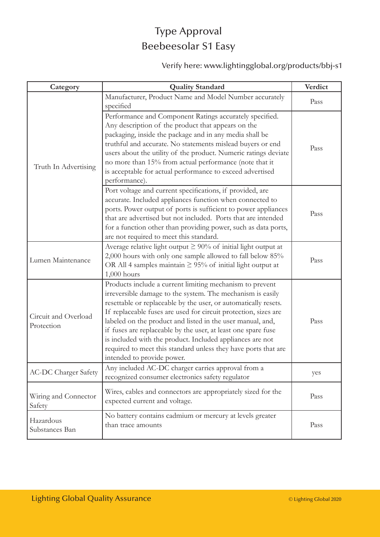# Type Approval Beebeesolar S1 Easy

#### Verify here: www.lightingglobal.org/products/bbj-s1

| Category                           | <b>Quality Standard</b>                                                                                                                                                                                                                                                                                                                                                                                                                                                                                                                                  | Verdict |
|------------------------------------|----------------------------------------------------------------------------------------------------------------------------------------------------------------------------------------------------------------------------------------------------------------------------------------------------------------------------------------------------------------------------------------------------------------------------------------------------------------------------------------------------------------------------------------------------------|---------|
| Truth In Advertising               | Manufacturer, Product Name and Model Number accurately<br>specified                                                                                                                                                                                                                                                                                                                                                                                                                                                                                      | Pass    |
|                                    | Performance and Component Ratings accurately specified.<br>Any description of the product that appears on the<br>packaging, inside the package and in any media shall be<br>truthful and accurate. No statements mislead buyers or end<br>users about the utility of the product. Numeric ratings deviate<br>no more than 15% from actual performance (note that it<br>is acceptable for actual performance to exceed advertised<br>performance).                                                                                                        | Pass    |
|                                    | Port voltage and current specifications, if provided, are<br>accurate. Included appliances function when connected to<br>ports. Power output of ports is sufficient to power appliances<br>that are advertised but not included. Ports that are intended<br>for a function other than providing power, such as data ports,<br>are not required to meet this standard.                                                                                                                                                                                    | Pass    |
| Lumen Maintenance                  | Average relative light output $\geq 90\%$ of initial light output at<br>2,000 hours with only one sample allowed to fall below 85%<br>OR All 4 samples maintain $\geq$ 95% of initial light output at<br>$1,000$ hours                                                                                                                                                                                                                                                                                                                                   | Pass    |
| Circuit and Overload<br>Protection | Products include a current limiting mechanism to prevent<br>irreversible damage to the system. The mechanism is easily<br>resettable or replaceable by the user, or automatically resets.<br>If replaceable fuses are used for circuit protection, sizes are<br>labeled on the product and listed in the user manual, and,<br>if fuses are replaceable by the user, at least one spare fuse<br>is included with the product. Included appliances are not<br>required to meet this standard unless they have ports that are<br>intended to provide power. | Pass    |
| <b>AC-DC Charger Safety</b>        | Any included AC-DC charger carries approval from a<br>recognized consumer electronics safety regulator                                                                                                                                                                                                                                                                                                                                                                                                                                                   | yes     |
| Wiring and Connector<br>Safety     | Wires, cables and connectors are appropriately sized for the<br>expected current and voltage.                                                                                                                                                                                                                                                                                                                                                                                                                                                            | Pass    |
| Hazardous<br>Substances Ban        | No battery contains cadmium or mercury at levels greater<br>than trace amounts                                                                                                                                                                                                                                                                                                                                                                                                                                                                           | Pass    |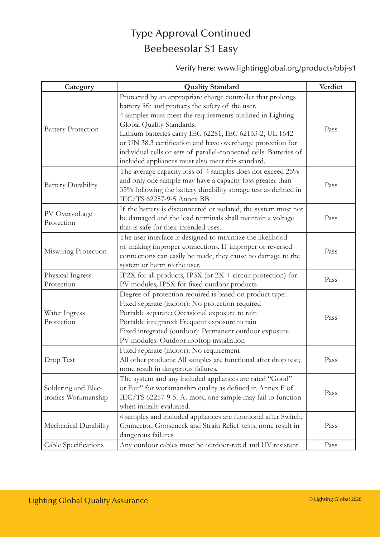#### Type Approval Continued Beebeesolar S1 Easy

Verify here: www.lightingglobal.org/products/bbj-s1

| Category                                   | <b>Quality Standard</b>                                                                                                                                                                                                                                                                                                                                                                                                                                         | Verdict |
|--------------------------------------------|-----------------------------------------------------------------------------------------------------------------------------------------------------------------------------------------------------------------------------------------------------------------------------------------------------------------------------------------------------------------------------------------------------------------------------------------------------------------|---------|
| <b>Battery Protection</b>                  | Protected by an appropriate charge controller that prolongs<br>battery life and protects the safety of the user.<br>4 samples must meet the requirements outlined in Lighting<br>Global Quality Standards.<br>Lithium batteries carry IEC 62281, IEC 62133-2, UL 1642<br>or UN 38.3 certification and have overcharge protection for<br>individual cells or sets of parallel-connected cells. Batteries of<br>included appliances must also meet this standard. | Pass    |
| <b>Battery Durability</b>                  | The average capacity loss of 4 samples does not exceed 25%<br>and only one sample may have a capacity loss greater than<br>35% following the battery durability storage test as defined in<br>IEC/TS 62257-9-5 Annex BB                                                                                                                                                                                                                                         | Pass    |
| PV Overvoltage<br>Protection               | If the battery is disconnected or isolated, the system must not<br>be damaged and the load terminals shall maintain a voltage<br>that is safe for their intended uses.                                                                                                                                                                                                                                                                                          | Pass    |
| Miswiring Protection                       | The user interface is designed to minimize the likelihood<br>of making improper connections. If improper or reversed<br>connections can easily be made, they cause no damage to the<br>system or harm to the user.                                                                                                                                                                                                                                              | Pass    |
| Physical Ingress<br>Protection             | IP2X for all products, IP3X (or $2X +$ circuit protection) for<br>PV modules, IP5X for fixed outdoor products                                                                                                                                                                                                                                                                                                                                                   | Pass    |
| Water Ingress<br>Protection                | Degree of protection required is based on product type:<br>Fixed separate (indoor): No protection required<br>Portable separate: Occasional exposure to rain<br>Portable integrated: Frequent exposure to rain<br>Fixed integrated (outdoor): Permanent outdoor exposure<br>PV modules: Outdoor rooftop installation                                                                                                                                            | Pass    |
| Drop Test                                  | Fixed separate (indoor): No requirement<br>All other products: All samples are functional after drop test;<br>none result in dangerous failures.                                                                                                                                                                                                                                                                                                                | Pass    |
| Soldering and Elec-<br>tronics Workmanship | The system and any included appliances are rated "Good"<br>or Fair" for workmanship quality as defined in Annex F of<br>IEC/TS 62257-9-5. At most, one sample may fail to function<br>when initially evaluated.                                                                                                                                                                                                                                                 | Pass    |
| Mechanical Durability                      | 4 samples and included appliances are functional after Switch,<br>Connector, Gooseneck and Strain Relief tests; none result in<br>dangerous failures                                                                                                                                                                                                                                                                                                            | Pass    |
| Cable Specifications                       | Any outdoor cables must be outdoor-rated and UV resistant.                                                                                                                                                                                                                                                                                                                                                                                                      | Pass    |